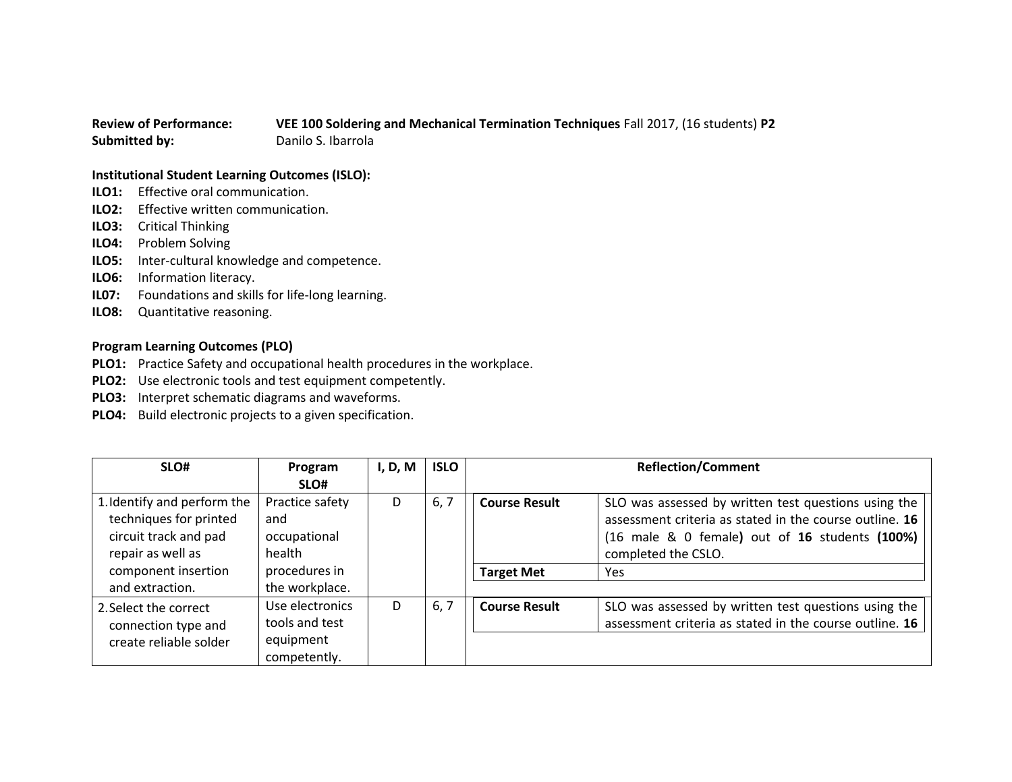## **Review of Performance: VEE 100 Soldering and Mechanical Termination Techniques** Fall 2017, (16 students) **P2 Submitted by:** Danilo S. Ibarrola

## **Institutional Student Learning Outcomes (ISLO):**

- **ILO1:** Effective oral communication.
- **ILO2:** Effective written communication.
- **ILO3:** Critical Thinking
- **ILO4:** Problem Solving
- **ILO5:** Inter-cultural knowledge and competence.
- **ILO6:** Information literacy.
- **IL07:** Foundations and skills for life-long learning.
- **ILO8:** Quantitative reasoning.

## **Program Learning Outcomes (PLO)**

- **PLO1:** Practice Safety and occupational health procedures in the workplace.
- **PLO2:** Use electronic tools and test equipment competently.
- **PLO3:** Interpret schematic diagrams and waveforms.
- **PLO4:** Build electronic projects to a given specification.

| SLO#                                                                                                                                          | Program<br>SLO#                                                                     | I, D, M | <b>ISLO</b> |                                           | <b>Reflection/Comment</b>                                                                                                                                                                        |
|-----------------------------------------------------------------------------------------------------------------------------------------------|-------------------------------------------------------------------------------------|---------|-------------|-------------------------------------------|--------------------------------------------------------------------------------------------------------------------------------------------------------------------------------------------------|
| 1. Identify and perform the<br>techniques for printed<br>circuit track and pad<br>repair as well as<br>component insertion<br>and extraction. | Practice safety<br>and<br>occupational<br>health<br>procedures in<br>the workplace. | D       | 6, 7        | <b>Course Result</b><br><b>Target Met</b> | SLO was assessed by written test questions using the<br>assessment criteria as stated in the course outline. 16<br>(16 male & 0 female) out of 16 students (100%)<br>completed the CSLO.<br>Yes. |
| 2. Select the correct<br>connection type and<br>create reliable solder                                                                        | Use electronics<br>tools and test<br>equipment<br>competently.                      | D       | 6, 7        | <b>Course Result</b>                      | SLO was assessed by written test questions using the<br>assessment criteria as stated in the course outline. 16                                                                                  |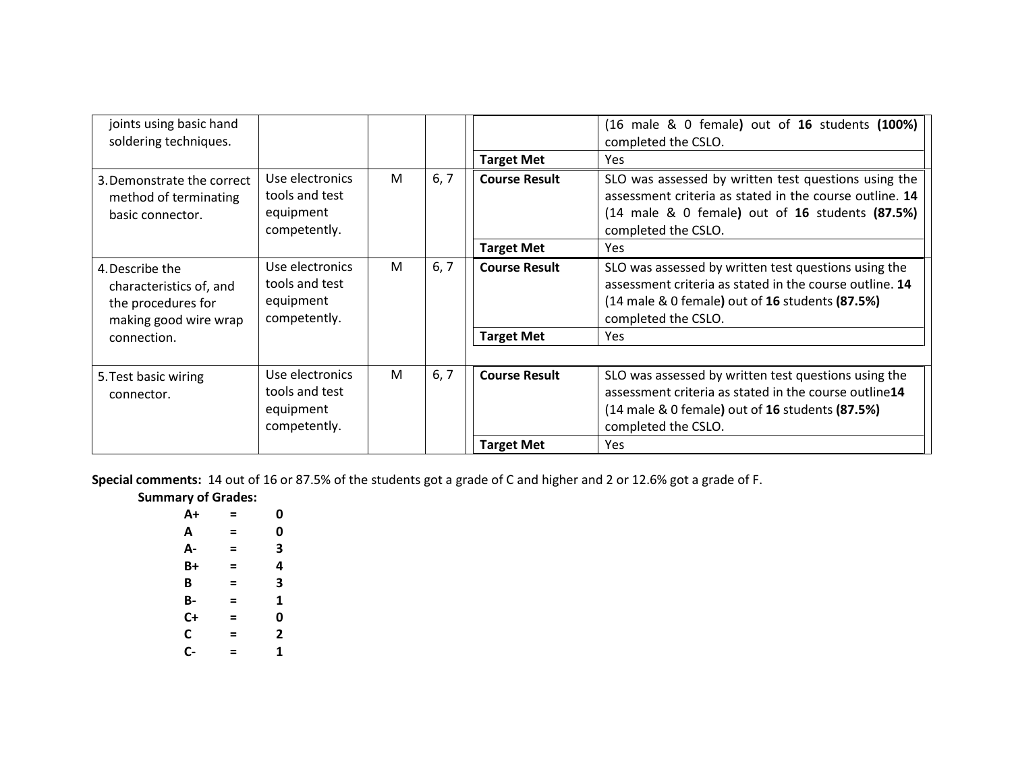| joints using basic hand<br>soldering techniques.                                          |                                                                |   |      | <b>Target Met</b>    | (16 male & 0 female) out of 16 students (100%)<br>completed the CSLO.<br>Yes                                                                                                              |
|-------------------------------------------------------------------------------------------|----------------------------------------------------------------|---|------|----------------------|-------------------------------------------------------------------------------------------------------------------------------------------------------------------------------------------|
| 3. Demonstrate the correct<br>method of terminating<br>basic connector.                   | Use electronics<br>tools and test<br>equipment<br>competently. | M | 6, 7 | <b>Course Result</b> | SLO was assessed by written test questions using the<br>assessment criteria as stated in the course outline. 14<br>(14 male & 0 female) out of 16 students (87.5%)<br>completed the CSLO. |
|                                                                                           |                                                                |   |      | <b>Target Met</b>    | Yes                                                                                                                                                                                       |
| 4. Describe the<br>characteristics of, and<br>the procedures for<br>making good wire wrap | Use electronics<br>tools and test<br>equipment<br>competently. | M | 6, 7 | <b>Course Result</b> | SLO was assessed by written test questions using the<br>assessment criteria as stated in the course outline. 14<br>(14 male & 0 female) out of 16 students (87.5%)<br>completed the CSLO. |
| connection.                                                                               |                                                                |   |      | <b>Target Met</b>    | Yes                                                                                                                                                                                       |
|                                                                                           |                                                                |   |      |                      |                                                                                                                                                                                           |
| 5. Test basic wiring<br>connector.                                                        | Use electronics<br>tools and test<br>equipment<br>competently. | M | 6, 7 | <b>Course Result</b> | SLO was assessed by written test questions using the<br>assessment criteria as stated in the course outline14<br>(14 male & 0 female) out of 16 students (87.5%)<br>completed the CSLO.   |
|                                                                                           |                                                                |   |      | <b>Target Met</b>    | <b>Yes</b>                                                                                                                                                                                |

**Special comments:** 14 out of 16 or 87.5% of the students got a grade of C and higher and 2 or 12.6% got a grade of F.

| <b>Summary of Grades:</b> |  |
|---------------------------|--|
|---------------------------|--|

| A+ | = | 0 |
|----|---|---|
| А  | = | 0 |
| А- | = | 3 |
| B+ | = | 4 |
| B  | = | 3 |
| В- | = | 1 |
| C+ | = | 0 |
| C  | = | 2 |
| C- | = | 1 |